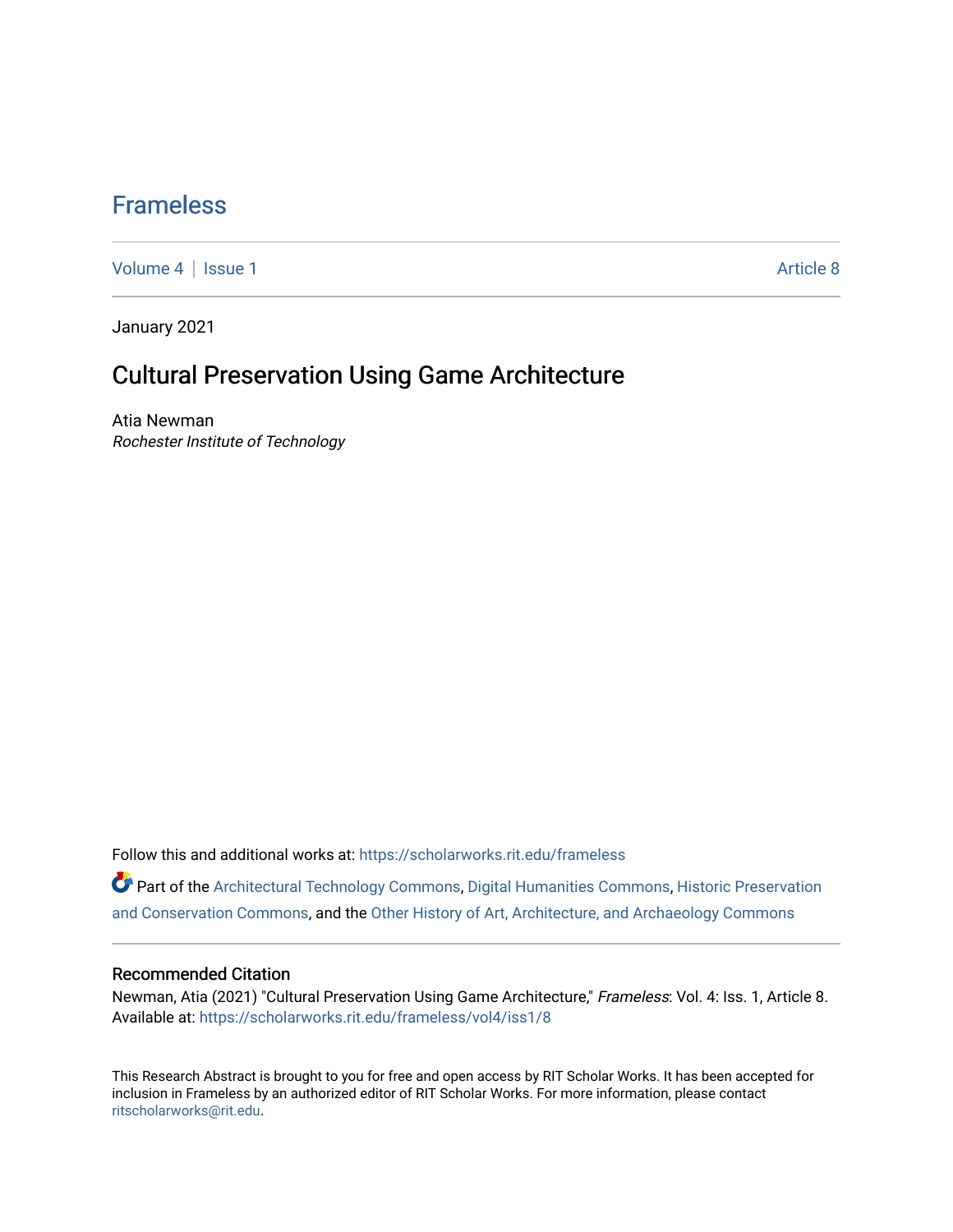### [Frameless](https://scholarworks.rit.edu/frameless)

[Volume 4](https://scholarworks.rit.edu/frameless/vol4) | [Issue 1](https://scholarworks.rit.edu/frameless/vol4/iss1) Article 8

January 2021

## Cultural Preservation Using Game Architecture

Atia Newman Rochester Institute of Technology

Follow this and additional works at: [https://scholarworks.rit.edu/frameless](https://scholarworks.rit.edu/frameless?utm_source=scholarworks.rit.edu%2Fframeless%2Fvol4%2Fiss1%2F8&utm_medium=PDF&utm_campaign=PDFCoverPages)

Part of the [Architectural Technology Commons](https://network.bepress.com/hgg/discipline/1194?utm_source=scholarworks.rit.edu%2Fframeless%2Fvol4%2Fiss1%2F8&utm_medium=PDF&utm_campaign=PDFCoverPages), [Digital Humanities Commons,](https://network.bepress.com/hgg/discipline/1286?utm_source=scholarworks.rit.edu%2Fframeless%2Fvol4%2Fiss1%2F8&utm_medium=PDF&utm_campaign=PDFCoverPages) [Historic Preservation](https://network.bepress.com/hgg/discipline/781?utm_source=scholarworks.rit.edu%2Fframeless%2Fvol4%2Fiss1%2F8&utm_medium=PDF&utm_campaign=PDFCoverPages) [and Conservation Commons](https://network.bepress.com/hgg/discipline/781?utm_source=scholarworks.rit.edu%2Fframeless%2Fvol4%2Fiss1%2F8&utm_medium=PDF&utm_campaign=PDFCoverPages), and the [Other History of Art, Architecture, and Archaeology Commons](https://network.bepress.com/hgg/discipline/517?utm_source=scholarworks.rit.edu%2Fframeless%2Fvol4%2Fiss1%2F8&utm_medium=PDF&utm_campaign=PDFCoverPages) 

#### Recommended Citation

Newman, Atia (2021) "Cultural Preservation Using Game Architecture," Frameless: Vol. 4: Iss. 1, Article 8. Available at: [https://scholarworks.rit.edu/frameless/vol4/iss1/8](https://scholarworks.rit.edu/frameless/vol4/iss1/8?utm_source=scholarworks.rit.edu%2Fframeless%2Fvol4%2Fiss1%2F8&utm_medium=PDF&utm_campaign=PDFCoverPages)

This Research Abstract is brought to you for free and open access by RIT Scholar Works. It has been accepted for inclusion in Frameless by an authorized editor of RIT Scholar Works. For more information, please contact [ritscholarworks@rit.edu](mailto:ritscholarworks@rit.edu).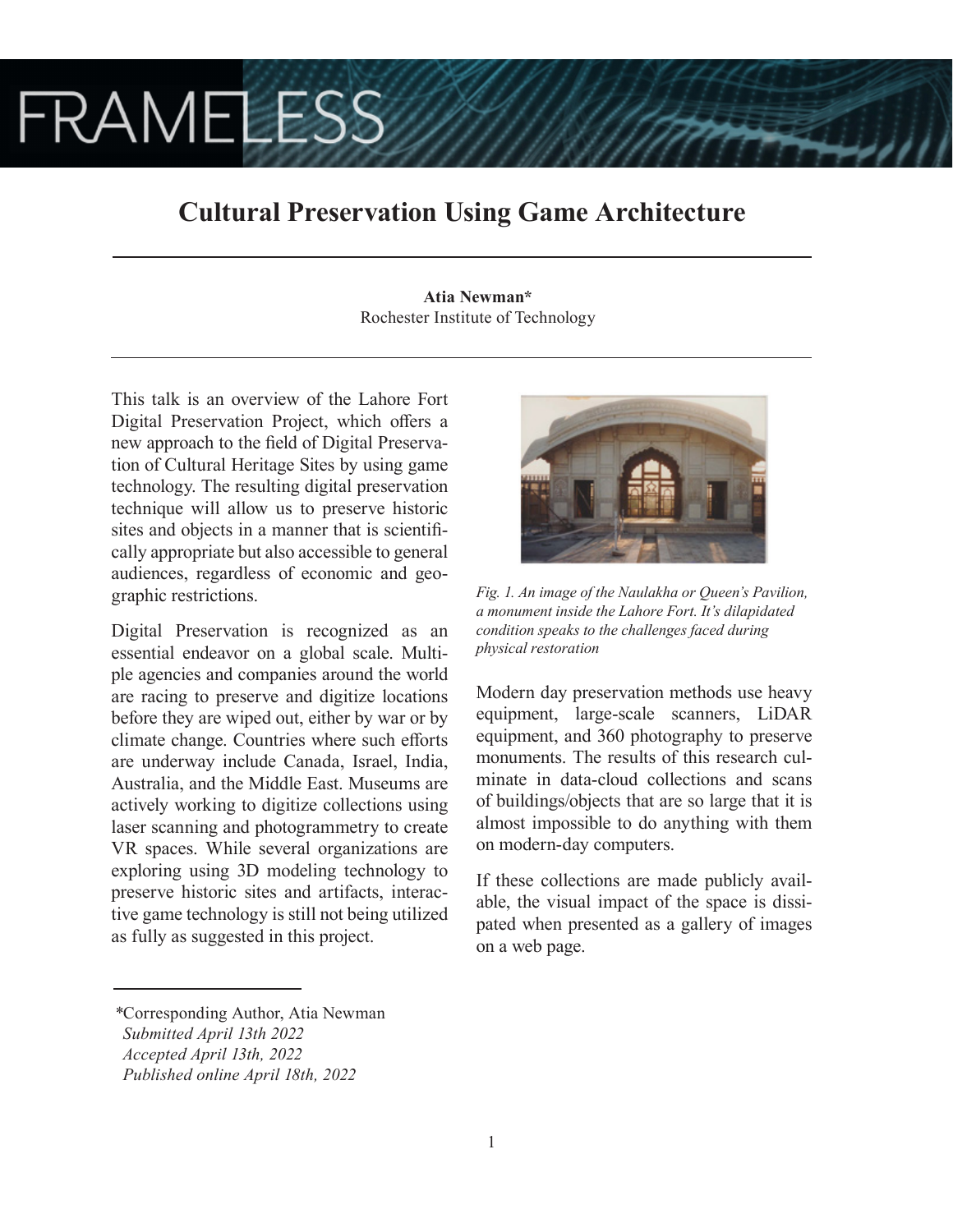# **FRAMELESS**

## **Cultural Preservation Using Game Architecture**

**Atia Newman\*** Rochester Institute of Technology

This talk is an overview of the Lahore Fort Digital Preservation Project, which offers a new approach to the field of Digital Preservation of Cultural Heritage Sites by using game technology. The resulting digital preservation technique will allow us to preserve historic sites and objects in a manner that is scientifically appropriate but also accessible to general audiences, regardless of economic and geographic restrictions.

Digital Preservation is recognized as an essential endeavor on a global scale. Multiple agencies and companies around the world are racing to preserve and digitize locations before they are wiped out, either by war or by climate change. Countries where such efforts are underway include Canada, Israel, India, Australia, and the Middle East. Museums are actively working to digitize collections using laser scanning and photogrammetry to create VR spaces. While several organizations are exploring using 3D modeling technology to preserve historic sites and artifacts, interactive game technology is still not being utilized as fully as suggested in this project.



*Fig. 1. An image of the Naulakha or Queen's Pavilion, a monument inside the Lahore Fort. It's dilapidated condition speaks to the challenges faced during physical restoration*

Modern day preservation methods use heavy equipment, large-scale scanners, LiDAR equipment, and 360 photography to preserve monuments. The results of this research culminate in data-cloud collections and scans of buildings/objects that are so large that it is almost impossible to do anything with them on modern-day computers.

If these collections are made publicly available, the visual impact of the space is dissipated when presented as a gallery of images on a web page.

*<sup>\*</sup>*Corresponding Author, Atia Newman

*Submitted April 13th 2022*

*Accepted April 13th, 2022*

*Published online April 18th, 2022*